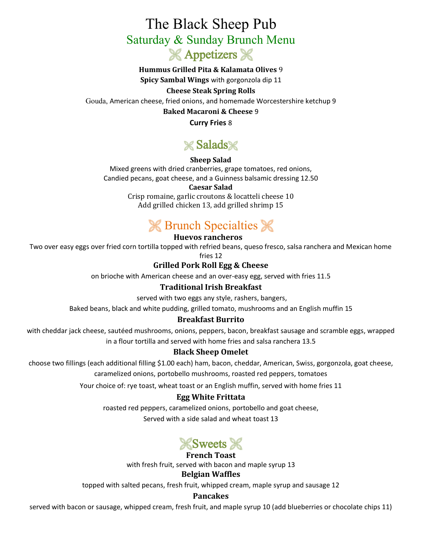# The Black Sheep Pub Saturday & Sunday Brunch Menu **& Appetizers &**

**Hummus Grilled Pita & Kalamata Olives** 9 **Spicy Sambal Wings** with gorgonzola dip 11 **Cheese Steak Spring Rolls** Gouda, American cheese, fried onions, and homemade Worcestershire ketchup 9

**Baked Macaroni & Cheese** 9

**Curry Fries** 8

# **Salads**

### **Sheep Salad**

Mixed greens with dried cranberries, grape tomatoes, red onions, Candied pecans, goat cheese, and a Guinness balsamic dressing 12.50

### **Caesar Salad**

Crisp romaine, garlic croutons & locatteli cheese 10 Add grilled chicken 13, add grilled shrimp 15

## **K** Brunch Specialties **K**

### **Huevos rancheros**

Two over easy eggs over fried corn tortilla topped with refried beans, queso fresco, salsa ranchera and Mexican home

fries 12

### **Grilled Pork Roll Egg & Cheese**

on brioche with American cheese and an over-easy egg, served with fries 11.5

### **Traditional Irish Breakfast**

served with two eggs any style, rashers, bangers,

Baked beans, black and white pudding, grilled tomato, mushrooms and an English muffin 15

### **Breakfast Burrito**

with cheddar jack cheese, sautéed mushrooms, onions, peppers, bacon, breakfast sausage and scramble eggs, wrapped in a flour tortilla and served with home fries and salsa ranchera 13.5

### **Black Sheep Omelet**

choose two fillings (each additional filling \$1.00 each) ham, bacon, cheddar, American, Swiss, gorgonzola, goat cheese, caramelized onions, portobello mushrooms, roasted red peppers, tomatoes

Your choice of: rye toast, wheat toast or an English muffin, served with home fries 11

### **Egg White Frittata**

roasted red peppers, caramelized onions, portobello and goat cheese,

Served with a side salad and wheat toast 13



### **French Toast**

with fresh fruit, served with bacon and maple syrup 13

#### **Belgian Waffles**

topped with salted pecans, fresh fruit, whipped cream, maple syrup and sausage 12

### **Pancakes**

served with bacon or sausage, whipped cream, fresh fruit, and maple syrup 10 (add blueberries or chocolate chips 11)